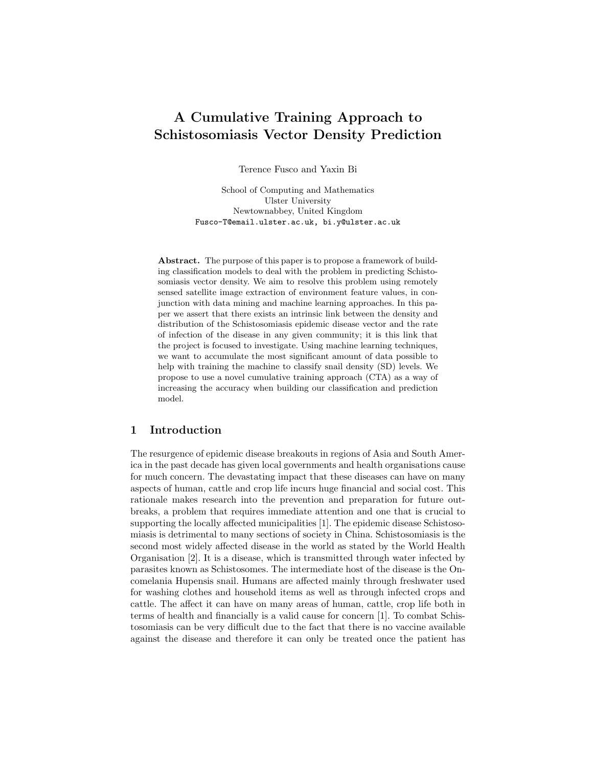# A Cumulative Training Approach to Schistosomiasis Vector Density Prediction

Terence Fusco and Yaxin Bi

School of Computing and Mathematics Ulster University Newtownabbey, United Kingdom Fusco-T@email.ulster.ac.uk, bi.y@ulster.ac.uk

Abstract. The purpose of this paper is to propose a framework of building classification models to deal with the problem in predicting Schistosomiasis vector density. We aim to resolve this problem using remotely sensed satellite image extraction of environment feature values, in conjunction with data mining and machine learning approaches. In this paper we assert that there exists an intrinsic link between the density and distribution of the Schistosomiasis epidemic disease vector and the rate of infection of the disease in any given community; it is this link that the project is focused to investigate. Using machine learning techniques, we want to accumulate the most significant amount of data possible to help with training the machine to classify snail density (SD) levels. We propose to use a novel cumulative training approach (CTA) as a way of increasing the accuracy when building our classification and prediction model.

## 1 Introduction

The resurgence of epidemic disease breakouts in regions of Asia and South America in the past decade has given local governments and health organisations cause for much concern. The devastating impact that these diseases can have on many aspects of human, cattle and crop life incurs huge financial and social cost. This rationale makes research into the prevention and preparation for future outbreaks, a problem that requires immediate attention and one that is crucial to supporting the locally affected municipalities [1]. The epidemic disease Schistosomiasis is detrimental to many sections of society in China. Schistosomiasis is the second most widely affected disease in the world as stated by the World Health Organisation [2]. It is a disease, which is transmitted through water infected by parasites known as Schistosomes. The intermediate host of the disease is the Oncomelania Hupensis snail. Humans are affected mainly through freshwater used for washing clothes and household items as well as through infected crops and cattle. The affect it can have on many areas of human, cattle, crop life both in terms of health and financially is a valid cause for concern [1]. To combat Schistosomiasis can be very difficult due to the fact that there is no vaccine available against the disease and therefore it can only be treated once the patient has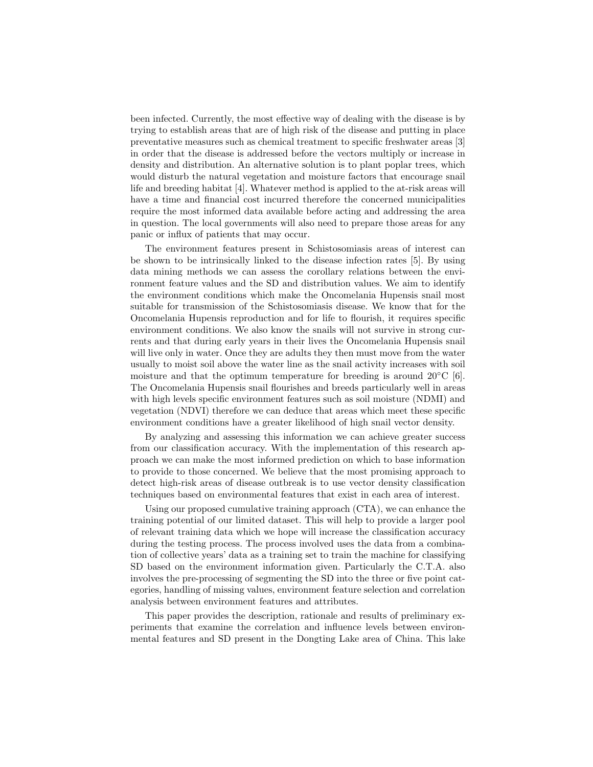been infected. Currently, the most effective way of dealing with the disease is by trying to establish areas that are of high risk of the disease and putting in place preventative measures such as chemical treatment to specific freshwater areas [3] in order that the disease is addressed before the vectors multiply or increase in density and distribution. An alternative solution is to plant poplar trees, which would disturb the natural vegetation and moisture factors that encourage snail life and breeding habitat [4]. Whatever method is applied to the at-risk areas will have a time and financial cost incurred therefore the concerned municipalities require the most informed data available before acting and addressing the area in question. The local governments will also need to prepare those areas for any panic or influx of patients that may occur.

The environment features present in Schistosomiasis areas of interest can be shown to be intrinsically linked to the disease infection rates [5]. By using data mining methods we can assess the corollary relations between the environment feature values and the SD and distribution values. We aim to identify the environment conditions which make the Oncomelania Hupensis snail most suitable for transmission of the Schistosomiasis disease. We know that for the Oncomelania Hupensis reproduction and for life to flourish, it requires specific environment conditions. We also know the snails will not survive in strong currents and that during early years in their lives the Oncomelania Hupensis snail will live only in water. Once they are adults they then must move from the water usually to moist soil above the water line as the snail activity increases with soil moisture and that the optimum temperature for breeding is around  $20^{\circ}$ C [6]. The Oncomelania Hupensis snail flourishes and breeds particularly well in areas with high levels specific environment features such as soil moisture (NDMI) and vegetation (NDVI) therefore we can deduce that areas which meet these specific environment conditions have a greater likelihood of high snail vector density.

By analyzing and assessing this information we can achieve greater success from our classification accuracy. With the implementation of this research approach we can make the most informed prediction on which to base information to provide to those concerned. We believe that the most promising approach to detect high-risk areas of disease outbreak is to use vector density classification techniques based on environmental features that exist in each area of interest.

Using our proposed cumulative training approach (CTA), we can enhance the training potential of our limited dataset. This will help to provide a larger pool of relevant training data which we hope will increase the classification accuracy during the testing process. The process involved uses the data from a combination of collective years' data as a training set to train the machine for classifying SD based on the environment information given. Particularly the C.T.A. also involves the pre-processing of segmenting the SD into the three or five point categories, handling of missing values, environment feature selection and correlation analysis between environment features and attributes.

This paper provides the description, rationale and results of preliminary experiments that examine the correlation and influence levels between environmental features and SD present in the Dongting Lake area of China. This lake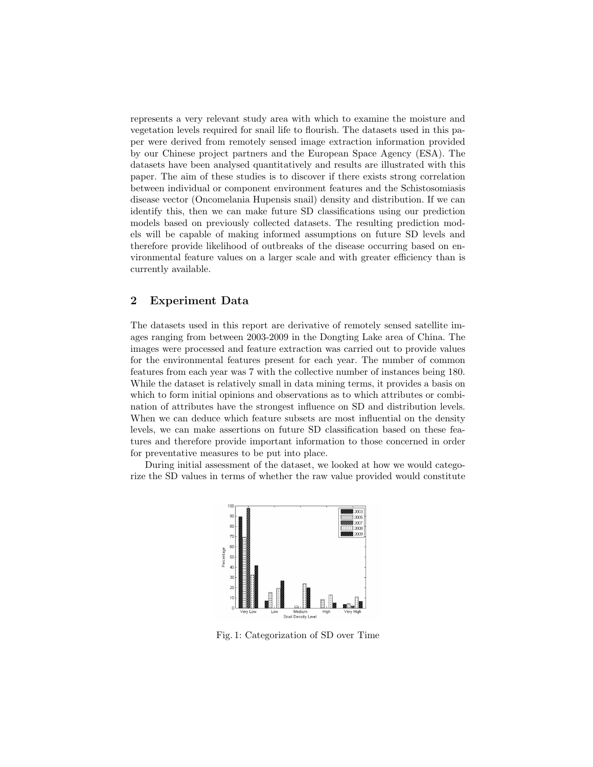represents a very relevant study area with which to examine the moisture and vegetation levels required for snail life to flourish. The datasets used in this paper were derived from remotely sensed image extraction information provided by our Chinese project partners and the European Space Agency (ESA). The datasets have been analysed quantitatively and results are illustrated with this paper. The aim of these studies is to discover if there exists strong correlation between individual or component environment features and the Schistosomiasis disease vector (Oncomelania Hupensis snail) density and distribution. If we can identify this, then we can make future SD classifications using our prediction models based on previously collected datasets. The resulting prediction models will be capable of making informed assumptions on future SD levels and therefore provide likelihood of outbreaks of the disease occurring based on environmental feature values on a larger scale and with greater efficiency than is currently available.

## 2 Experiment Data

The datasets used in this report are derivative of remotely sensed satellite images ranging from between 2003-2009 in the Dongting Lake area of China. The images were processed and feature extraction was carried out to provide values for the environmental features present for each year. The number of common features from each year was 7 with the collective number of instances being 180. While the dataset is relatively small in data mining terms, it provides a basis on which to form initial opinions and observations as to which attributes or combination of attributes have the strongest influence on SD and distribution levels. When we can deduce which feature subsets are most influential on the density levels, we can make assertions on future SD classification based on these features and therefore provide important information to those concerned in order for preventative measures to be put into place.

During initial assessment of the dataset, we looked at how we would categorize the SD values in terms of whether the raw value provided would constitute



Fig. 1: Categorization of SD over Time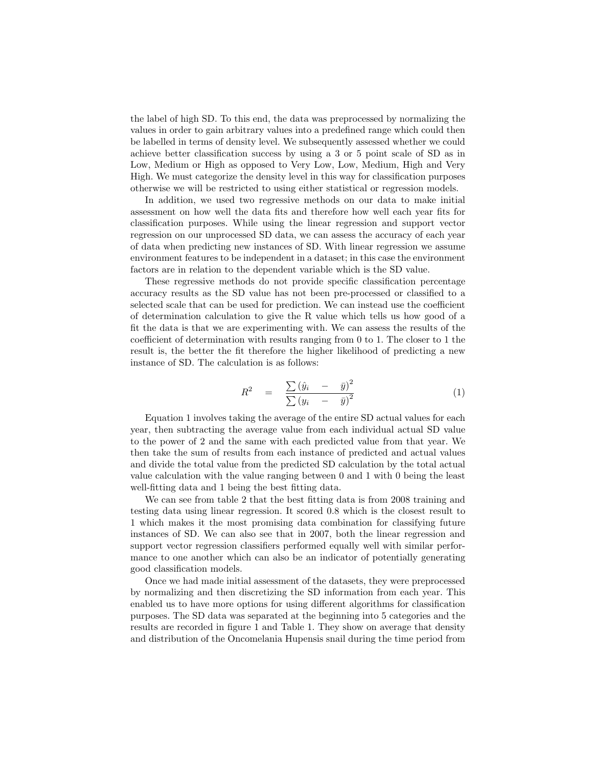the label of high SD. To this end, the data was preprocessed by normalizing the values in order to gain arbitrary values into a predefined range which could then be labelled in terms of density level. We subsequently assessed whether we could achieve better classification success by using a 3 or 5 point scale of SD as in Low, Medium or High as opposed to Very Low, Low, Medium, High and Very High. We must categorize the density level in this way for classification purposes otherwise we will be restricted to using either statistical or regression models.

In addition, we used two regressive methods on our data to make initial assessment on how well the data fits and therefore how well each year fits for classification purposes. While using the linear regression and support vector regression on our unprocessed SD data, we can assess the accuracy of each year of data when predicting new instances of SD. With linear regression we assume environment features to be independent in a dataset; in this case the environment factors are in relation to the dependent variable which is the SD value.

These regressive methods do not provide specific classification percentage accuracy results as the SD value has not been pre-processed or classified to a selected scale that can be used for prediction. We can instead use the coefficient of determination calculation to give the R value which tells us how good of a fit the data is that we are experimenting with. We can assess the results of the coefficient of determination with results ranging from 0 to 1. The closer to 1 the result is, the better the fit therefore the higher likelihood of predicting a new instance of SD. The calculation is as follows:

$$
R^{2} = \frac{\sum (\hat{y}_{i} - \bar{y})^{2}}{\sum (y_{i} - \bar{y})^{2}}
$$
(1)

Equation 1 involves taking the average of the entire SD actual values for each year, then subtracting the average value from each individual actual SD value to the power of 2 and the same with each predicted value from that year. We then take the sum of results from each instance of predicted and actual values and divide the total value from the predicted SD calculation by the total actual value calculation with the value ranging between 0 and 1 with 0 being the least well-fitting data and 1 being the best fitting data.

We can see from table 2 that the best fitting data is from 2008 training and testing data using linear regression. It scored 0.8 which is the closest result to 1 which makes it the most promising data combination for classifying future instances of SD. We can also see that in 2007, both the linear regression and support vector regression classifiers performed equally well with similar performance to one another which can also be an indicator of potentially generating good classification models.

Once we had made initial assessment of the datasets, they were preprocessed by normalizing and then discretizing the SD information from each year. This enabled us to have more options for using different algorithms for classification purposes. The SD data was separated at the beginning into 5 categories and the results are recorded in figure 1 and Table 1. They show on average that density and distribution of the Oncomelania Hupensis snail during the time period from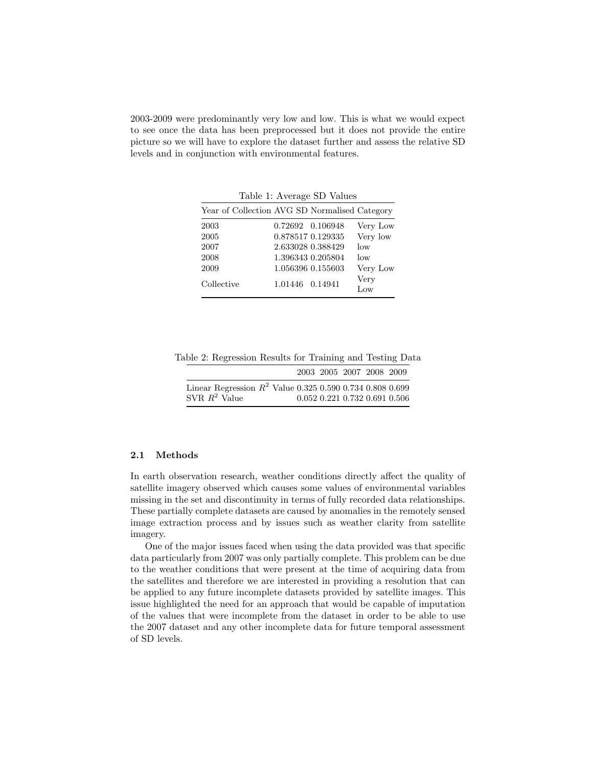2003-2009 were predominantly very low and low. This is what we would expect to see once the data has been preprocessed but it does not provide the entire picture so we will have to explore the dataset further and assess the relative SD levels and in conjunction with environmental features.

Table 1: Average SD Values

| Year of Collection AVG SD Normalised Category |                  |                   |             |
|-----------------------------------------------|------------------|-------------------|-------------|
| 2003                                          |                  | 0.72692 0.106948  | Very Low    |
| 2005                                          |                  | 0.878517 0.129335 | Very low    |
| 2007                                          |                  | 2.633028 0.388429 | low         |
| 2008                                          |                  | 1.396343 0.205804 | low         |
| 2009                                          |                  | 1.056396 0.155603 | Very Low    |
| Collective                                    | 1.01446  0.14941 |                   | Very<br>Low |

Table 2: Regression Results for Training and Testing Data

|                                                             |  | 2003 2005 2007 2008 2009 |                               |
|-------------------------------------------------------------|--|--------------------------|-------------------------------|
| Linear Regression $R^2$ Value 0.325 0.590 0.734 0.808 0.699 |  |                          |                               |
| SVR $R^2$ Value                                             |  |                          | 0.052 0.221 0.732 0.691 0.506 |

#### 2.1 Methods

In earth observation research, weather conditions directly affect the quality of satellite imagery observed which causes some values of environmental variables missing in the set and discontinuity in terms of fully recorded data relationships. These partially complete datasets are caused by anomalies in the remotely sensed image extraction process and by issues such as weather clarity from satellite imagery.

One of the major issues faced when using the data provided was that specific data particularly from 2007 was only partially complete. This problem can be due to the weather conditions that were present at the time of acquiring data from the satellites and therefore we are interested in providing a resolution that can be applied to any future incomplete datasets provided by satellite images. This issue highlighted the need for an approach that would be capable of imputation of the values that were incomplete from the dataset in order to be able to use the 2007 dataset and any other incomplete data for future temporal assessment of SD levels.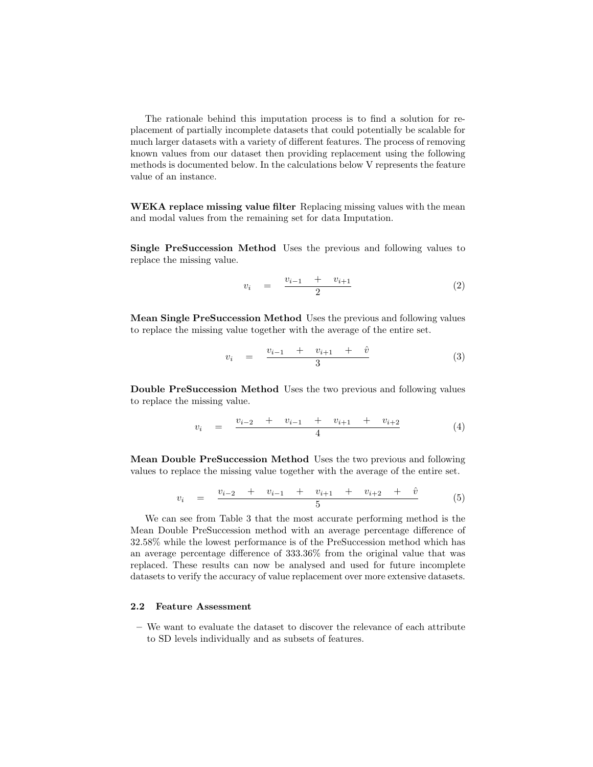The rationale behind this imputation process is to find a solution for replacement of partially incomplete datasets that could potentially be scalable for much larger datasets with a variety of different features. The process of removing known values from our dataset then providing replacement using the following methods is documented below. In the calculations below V represents the feature value of an instance.

WEKA replace missing value filter Replacing missing values with the mean and modal values from the remaining set for data Imputation.

Single PreSuccession Method Uses the previous and following values to replace the missing value.

$$
v_i = \frac{v_{i-1} + v_{i+1}}{2} \tag{2}
$$

Mean Single PreSuccession Method Uses the previous and following values to replace the missing value together with the average of the entire set.

$$
v_i = \frac{v_{i-1} + v_{i+1} + \hat{v}}{3} \tag{3}
$$

Double PreSuccession Method Uses the two previous and following values to replace the missing value.

$$
v_i = \frac{v_{i-2} + v_{i-1} + v_{i+1} + v_{i+2}}{4} \tag{4}
$$

Mean Double PreSuccession Method Uses the two previous and following values to replace the missing value together with the average of the entire set.

$$
v_i = \frac{v_{i-2} + v_{i-1} + v_{i+1} + v_{i+2} + \hat{v}}{5} \tag{5}
$$

We can see from Table 3 that the most accurate performing method is the Mean Double PreSuccession method with an average percentage difference of 32.58% while the lowest performance is of the PreSuccession method which has an average percentage difference of 333.36% from the original value that was replaced. These results can now be analysed and used for future incomplete datasets to verify the accuracy of value replacement over more extensive datasets.

## 2.2 Feature Assessment

– We want to evaluate the dataset to discover the relevance of each attribute to SD levels individually and as subsets of features.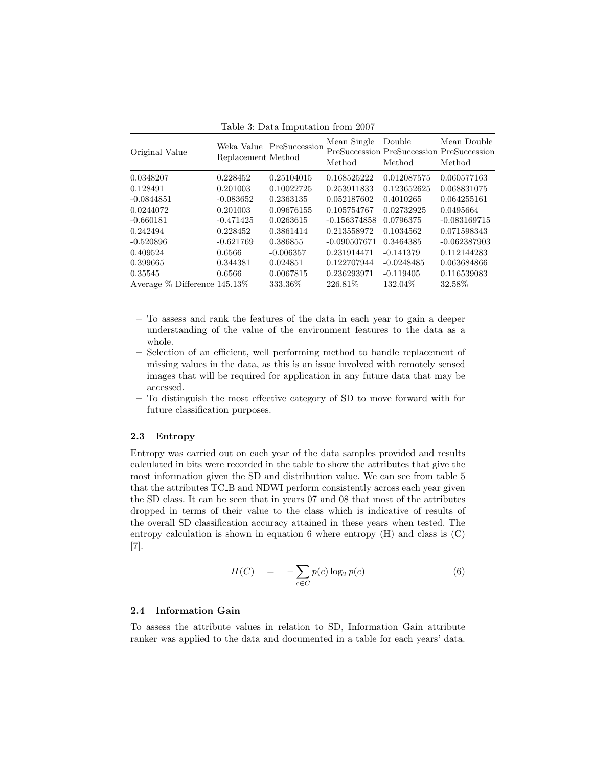Table 3: Data Imputation from 2007

| Original Value                      | Replacement Method | Weka Value PreSuccession | Mean Single<br>Method | Double<br>PreSuccession PreSuccession PreSuccession<br>Method | Mean Double<br>Method |
|-------------------------------------|--------------------|--------------------------|-----------------------|---------------------------------------------------------------|-----------------------|
| 0.0348207                           | 0.228452           | 0.25104015               | 0.168525222           | 0.012087575                                                   | 0.060577163           |
| 0.128491                            | 0.201003           | 0.10022725               | 0.253911833           | 0.123652625                                                   | 0.068831075           |
| $-0.0844851$                        | $-0.083652$        | 0.2363135                | 0.052187602           | 0.4010265                                                     | 0.064255161           |
| 0.0244072                           | 0.201003           | 0.09676155               | 0.105754767           | 0.02732925                                                    | 0.0495664             |
| $-0.660181$                         | $-0.471425$        | 0.0263615                | $-0.156374858$        | 0.0796375                                                     | $-0.083169715$        |
| 0.242494                            | 0.228452           | 0.3861414                | 0.213558972           | 0.1034562                                                     | 0.071598343           |
| $-0.520896$                         | $-0.621769$        | 0.386855                 | $-0.090507671$        | 0.3464385                                                     | $-0.062387903$        |
| 0.409524                            | 0.6566             | $-0.006357$              | 0.231914471           | $-0.141379$                                                   | 0.112144283           |
| 0.399665                            | 0.344381           | 0.024851                 | 0.122707944           | $-0.0248485$                                                  | 0.063684866           |
| 0.35545                             | 0.6566             | 0.0067815                | 0.236293971           | $-0.119405$                                                   | 0.116539083           |
| Average $\%$ Difference 145.13 $\%$ |                    | 333.36\%                 | 226.81\%              | 132.04\%                                                      | 32.58%                |

- To assess and rank the features of the data in each year to gain a deeper understanding of the value of the environment features to the data as a whole.
- Selection of an efficient, well performing method to handle replacement of missing values in the data, as this is an issue involved with remotely sensed images that will be required for application in any future data that may be accessed.
- To distinguish the most effective category of SD to move forward with for future classification purposes.

#### 2.3 Entropy

Entropy was carried out on each year of the data samples provided and results calculated in bits were recorded in the table to show the attributes that give the most information given the SD and distribution value. We can see from table 5 that the attributes TC B and NDWI perform consistently across each year given the SD class. It can be seen that in years 07 and 08 that most of the attributes dropped in terms of their value to the class which is indicative of results of the overall SD classification accuracy attained in these years when tested. The entropy calculation is shown in equation 6 where entropy  $(H)$  and class is  $(C)$ [7].

$$
H(C) = -\sum_{c \in C} p(c) \log_2 p(c) \tag{6}
$$

#### 2.4 Information Gain

To assess the attribute values in relation to SD, Information Gain attribute ranker was applied to the data and documented in a table for each years' data.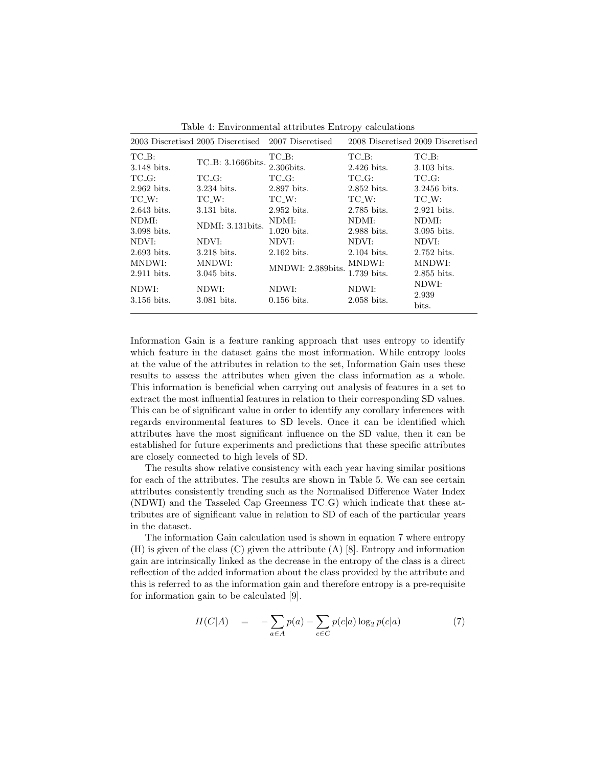|                      | 2003 Discretised 2005 Discretised 2007 Discretised |                   |               | 2008 Discretised 2009 Discretised |
|----------------------|----------------------------------------------------|-------------------|---------------|-----------------------------------|
| $TC$ <sub>-B</sub> : | TC_B: 3.1666bits.                                  | TC_B:             | TC_B:         | TC_B:                             |
| 3.148 bits.          |                                                    | 2.306bits.        | $2.426$ bits. | 3.103 bits.                       |
| $TC_{-}G$ :          | TC_G:                                              | TC_G:             | TC_G:         | TC_G:                             |
| $2.962$ bits.        | 3.234 bits.                                        | 2.897 bits.       | 2.852 bits.   | 3.2456 bits.                      |
| TC_W:                | TC_W:                                              | TC_W:             | TC_W:         | TC_W:                             |
| 2.643 bits.          | 3.131 bits.                                        | 2.952 bits.       | 2.785 bits.   | $2.921$ bits.                     |
| NDMI:                | NDMI: 3.131bits.                                   | NDMI:             | NDMI:         | NDMI:                             |
| 3.098 bits.          |                                                    | $1.020$ bits.     | 2.988 bits.   | 3.095 bits.                       |
| NDVI:                | NDVI:                                              | NDVI:             | NDVI:         | NDVI:                             |
| $2.693$ bits.        | $3.218$ bits.                                      | $2.162$ bits.     | 2.104 bits.   | $2.752$ bits.                     |
| MNDWI:               | MNDWI:                                             | MNDWI: 2.389bits. | MNDWI:        | MNDWI:                            |
| 2.911 bits.          | 3.045 bits.                                        |                   | 1.739 bits.   | 2.855 bits.                       |
| NDWI:                | NDWI:                                              | NDWI:             | NDWI:         | NDWI:                             |
| 3.156 bits.          | 3.081 bits.                                        | $0.156$ bits.     | 2.058 bits.   | 2.939                             |
|                      |                                                    |                   |               | bits.                             |

Table 4: Environmental attributes Entropy calculations

Information Gain is a feature ranking approach that uses entropy to identify which feature in the dataset gains the most information. While entropy looks at the value of the attributes in relation to the set, Information Gain uses these results to assess the attributes when given the class information as a whole. This information is beneficial when carrying out analysis of features in a set to extract the most influential features in relation to their corresponding SD values. This can be of significant value in order to identify any corollary inferences with regards environmental features to SD levels. Once it can be identified which attributes have the most significant influence on the SD value, then it can be established for future experiments and predictions that these specific attributes are closely connected to high levels of SD.

The results show relative consistency with each year having similar positions for each of the attributes. The results are shown in Table 5. We can see certain attributes consistently trending such as the Normalised Difference Water Index (NDWI) and the Tasseled Cap Greenness TC G) which indicate that these attributes are of significant value in relation to SD of each of the particular years in the dataset.

The information Gain calculation used is shown in equation 7 where entropy (H) is given of the class (C) given the attribute (A) [8]. Entropy and information gain are intrinsically linked as the decrease in the entropy of the class is a direct reflection of the added information about the class provided by the attribute and this is referred to as the information gain and therefore entropy is a pre-requisite for information gain to be calculated [9].

$$
H(C|A) = -\sum_{a \in A} p(a) - \sum_{c \in C} p(c|a) \log_2 p(c|a)
$$
 (7)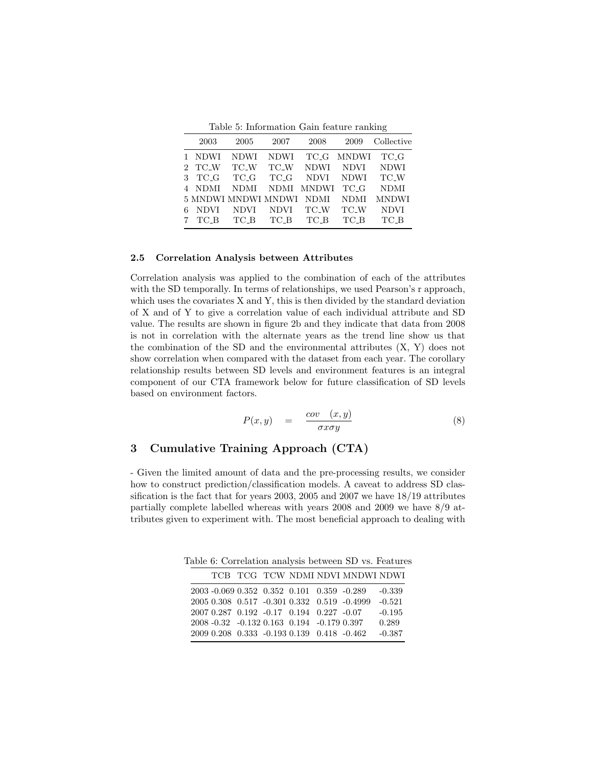Table 5: Information Gain feature ranking

|   | 2003        | 2005                | 2007        | 2008         | 2009         | Collective   |
|---|-------------|---------------------|-------------|--------------|--------------|--------------|
|   | 1 NDWI      | <b>NDWI</b>         | <b>NDWI</b> | TC_G         | <b>MNDWI</b> | TC_G         |
|   | 2 TC_W      | TC W                | TC W        | <b>NDWI</b>  | <b>NDVI</b>  | <b>NDWI</b>  |
| 3 | TC_G        | TC_G                | TC G        | <b>NDVI</b>  | <b>NDWI</b>  | TC_W         |
|   | NDMI        | NDMI                | NDMI        | <b>MNDWI</b> | TC_G         | <b>NDMI</b>  |
|   |             | 5 MNDWI MNDWI MNDWI |             | NDMI         | <b>NDMI</b>  | <b>MNDWI</b> |
|   | <b>NDVI</b> | <b>NDVI</b>         | <b>NDVI</b> | TC W         | TC W         | <b>NDVI</b>  |
|   | TC B        | TC B                | TC B        | TC B         | TC B         | TC B         |

#### 2.5 Correlation Analysis between Attributes

Correlation analysis was applied to the combination of each of the attributes with the SD temporally. In terms of relationships, we used Pearson's r approach, which uses the covariates X and Y, this is then divided by the standard deviation of X and of Y to give a correlation value of each individual attribute and SD value. The results are shown in figure 2b and they indicate that data from 2008 is not in correlation with the alternate years as the trend line show us that the combination of the SD and the environmental attributes  $(X, Y)$  does not show correlation when compared with the dataset from each year. The corollary relationship results between SD levels and environment features is an integral component of our CTA framework below for future classification of SD levels based on environment factors.

$$
P(x,y) = \frac{\text{cov}(x,y)}{\sigma x \sigma y} \tag{8}
$$

# 3 Cumulative Training Approach (CTA)

- Given the limited amount of data and the pre-processing results, we consider how to construct prediction/classification models. A caveat to address SD classification is the fact that for years 2003, 2005 and 2007 we have 18/19 attributes partially complete labelled whereas with years 2008 and 2009 we have 8/9 attributes given to experiment with. The most beneficial approach to dealing with

Table 6: Correlation analysis between SD vs. Features

|  |  |                                            | TCB TCG TCW NDMI NDVI MNDWI NDWI            |          |
|--|--|--------------------------------------------|---------------------------------------------|----------|
|  |  | 2003 -0.069 0.352 0.352 0.101 0.359 -0.289 |                                             | $-0.339$ |
|  |  |                                            | 2005 0.308 0.517 -0.301 0.332 0.519 -0.4999 | $-0.521$ |
|  |  | 2007 0.287 0.192 -0.17 0.194 0.227 -0.07   |                                             | $-0.195$ |
|  |  | 2008 -0.32 -0.132 0.163 0.194 -0.179 0.397 |                                             | 0.289    |
|  |  | 2009 0.208 0.333 -0.193 0.139 0.418 -0.462 |                                             | $-0.387$ |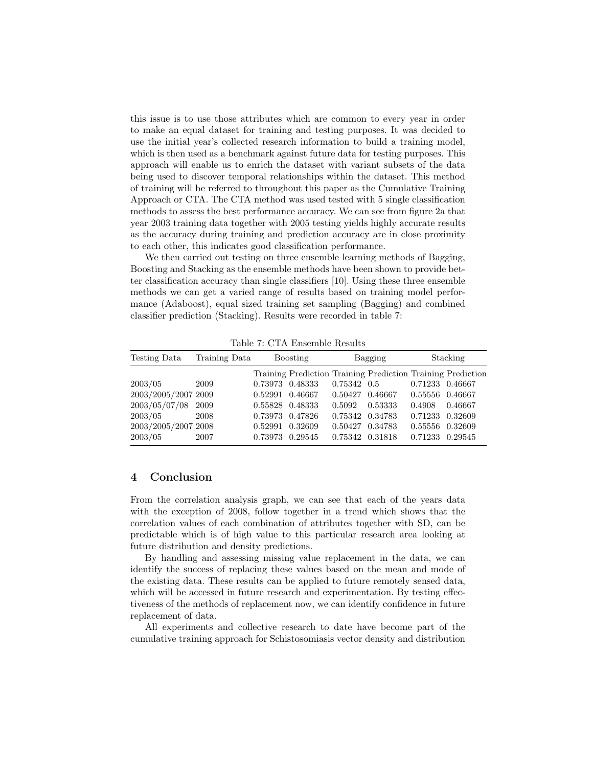this issue is to use those attributes which are common to every year in order to make an equal dataset for training and testing purposes. It was decided to use the initial year's collected research information to build a training model, which is then used as a benchmark against future data for testing purposes. This approach will enable us to enrich the dataset with variant subsets of the data being used to discover temporal relationships within the dataset. This method of training will be referred to throughout this paper as the Cumulative Training Approach or CTA. The CTA method was used tested with 5 single classification methods to assess the best performance accuracy. We can see from figure 2a that year 2003 training data together with 2005 testing yields highly accurate results as the accuracy during training and prediction accuracy are in close proximity to each other, this indicates good classification performance.

We then carried out testing on three ensemble learning methods of Bagging, Boosting and Stacking as the ensemble methods have been shown to provide better classification accuracy than single classifiers [10]. Using these three ensemble methods we can get a varied range of results based on training model performance (Adaboost), equal sized training set sampling (Bagging) and combined classifier prediction (Stacking). Results were recorded in table 7:

| Testing Data        | Training Data | <b>Boosting</b> |         | Bagging         |         | Stacking |                                                             |
|---------------------|---------------|-----------------|---------|-----------------|---------|----------|-------------------------------------------------------------|
|                     |               |                 |         |                 |         |          | Training Prediction Training Prediction Training Prediction |
| 2003/05             | 2009          | 0.73973         | 0.48333 | $0.75342$ 0.5   |         | 0.71233  | 0.46667                                                     |
| 2003/2005/2007 2009 |               | 0.52991         | 0.46667 | 0.50427         | 0.46667 | 0.55556  | 0.46667                                                     |
| 2003/05/07/08       | 2009          | 0.55828         | 0.48333 | 0.5092          | 0.53333 | 0.4908   | 0.46667                                                     |
| 2003/05             | 2008          | 0.73973         | 0.47826 | 0.75342 0.34783 |         | 0.71233  | 0.32609                                                     |
| 2003/2005/2007 2008 |               | 0.52991         | 0.32609 | 0.50427         | 0.34783 | 0.55556  | 0.32609                                                     |
| 2003/05             | 2007          | 0.73973         | 0.29545 | 0.75342 0.31818 |         | 0.71233  | 0.29545                                                     |

Table 7: CTA Ensemble Results

## 4 Conclusion

From the correlation analysis graph, we can see that each of the years data with the exception of 2008, follow together in a trend which shows that the correlation values of each combination of attributes together with SD, can be predictable which is of high value to this particular research area looking at future distribution and density predictions.

By handling and assessing missing value replacement in the data, we can identify the success of replacing these values based on the mean and mode of the existing data. These results can be applied to future remotely sensed data, which will be accessed in future research and experimentation. By testing effectiveness of the methods of replacement now, we can identify confidence in future replacement of data.

All experiments and collective research to date have become part of the cumulative training approach for Schistosomiasis vector density and distribution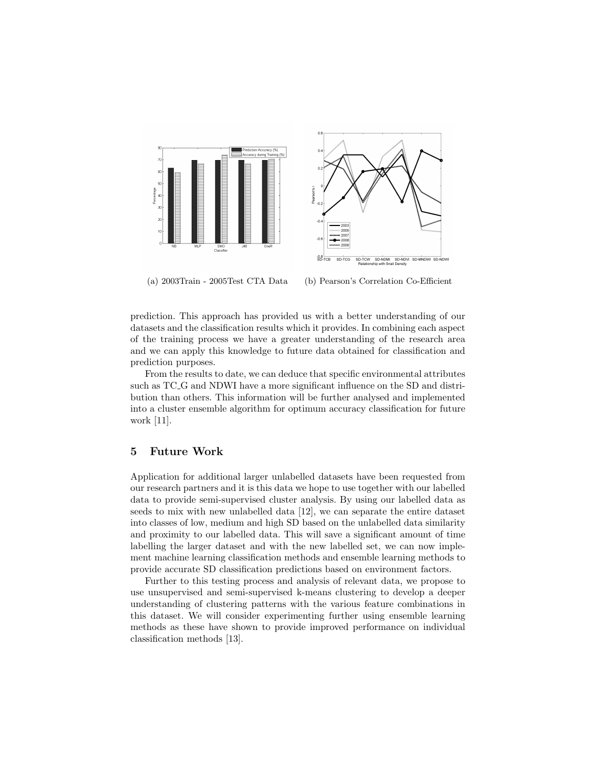



(a) 2003Train - 2005Test CTA Data (b) Pearson's Correlation Co-Efficient

prediction. This approach has provided us with a better understanding of our datasets and the classification results which it provides. In combining each aspect of the training process we have a greater understanding of the research area and we can apply this knowledge to future data obtained for classification and prediction purposes.

From the results to date, we can deduce that specific environmental attributes such as TC G and NDWI have a more significant influence on the SD and distribution than others. This information will be further analysed and implemented into a cluster ensemble algorithm for optimum accuracy classification for future work [11].

## 5 Future Work

Application for additional larger unlabelled datasets have been requested from our research partners and it is this data we hope to use together with our labelled data to provide semi-supervised cluster analysis. By using our labelled data as seeds to mix with new unlabelled data [12], we can separate the entire dataset into classes of low, medium and high SD based on the unlabelled data similarity and proximity to our labelled data. This will save a significant amount of time labelling the larger dataset and with the new labelled set, we can now implement machine learning classification methods and ensemble learning methods to provide accurate SD classification predictions based on environment factors.

Further to this testing process and analysis of relevant data, we propose to use unsupervised and semi-supervised k-means clustering to develop a deeper understanding of clustering patterns with the various feature combinations in this dataset. We will consider experimenting further using ensemble learning methods as these have shown to provide improved performance on individual classification methods [13].